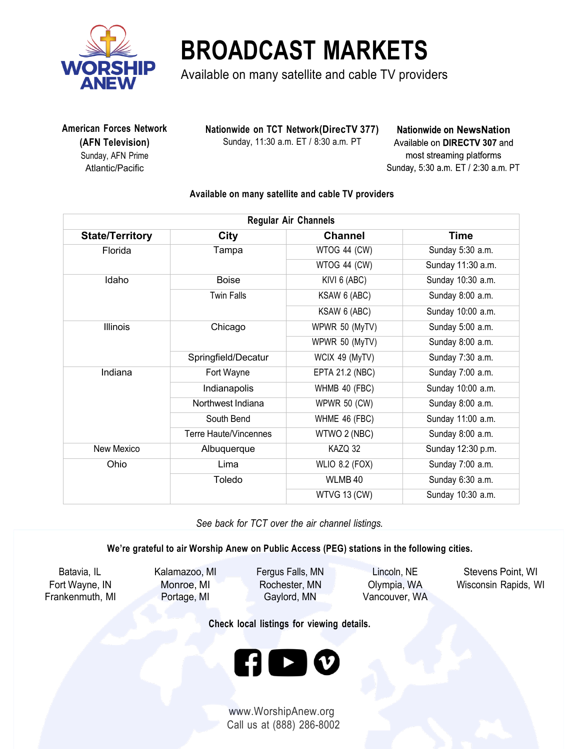

## **BROADCAST MARKETS**

Available on many satellite and cable TV providers

 **American Forces Network (AFN Television)** Sunday, AFN Prime Atlantic/Pacific

**Nationwide on TCT Network(DirecTV 377)** Sunday, 11:30 a.m. ET / 8:30 a.m. PT

**Nationwide on NewsNation** Available on DIRECTV 307 and most streaming platforms Sunday, 5:30 a.m. ET / 2:30 a.m. PT

## **Available on many satellite and cable TV providers**

|                        | <b>Regular Air Channels</b> |                        |                   |  |  |
|------------------------|-----------------------------|------------------------|-------------------|--|--|
| <b>State/Territory</b> | <b>City</b>                 | <b>Channel</b>         | <b>Time</b>       |  |  |
| Florida                | Tampa                       | WTOG 44 (CW)           | Sunday 5:30 a.m.  |  |  |
|                        |                             | WTOG 44 (CW)           | Sunday 11:30 a.m. |  |  |
| Idaho                  | <b>Boise</b>                | KIVI 6 (ABC)           | Sunday 10:30 a.m. |  |  |
|                        | <b>Twin Falls</b>           | KSAW 6 (ABC)           | Sunday 8:00 a.m.  |  |  |
|                        |                             | KSAW 6 (ABC)           | Sunday 10:00 a.m. |  |  |
| <b>Illinois</b>        | Chicago                     | WPWR 50 (MyTV)         | Sunday 5:00 a.m.  |  |  |
|                        |                             | WPWR 50 (MyTV)         | Sunday 8:00 a.m.  |  |  |
|                        | Springfield/Decatur         | WCIX 49 (MyTV)         | Sunday 7:30 a.m.  |  |  |
| Indiana                | Fort Wayne                  | <b>EPTA 21.2 (NBC)</b> | Sunday 7:00 a.m.  |  |  |
|                        | Indianapolis                | WHMB 40 (FBC)          | Sunday 10:00 a.m. |  |  |
|                        | Northwest Indiana           | <b>WPWR 50 (CW)</b>    | Sunday 8:00 a.m.  |  |  |
|                        | South Bend                  | WHME 46 (FBC)          | Sunday 11:00 a.m. |  |  |
|                        | Terre Haute/Vincennes       | WTWO 2 (NBC)           | Sunday 8:00 a.m.  |  |  |
| New Mexico             | Albuquerque                 | KAZQ 32                | Sunday 12:30 p.m. |  |  |
| Ohio                   | Lima                        | <b>WLIO 8.2 (FOX)</b>  | Sunday 7:00 a.m.  |  |  |
|                        | Toledo                      | WLMB 40                | Sunday 6:30 a.m.  |  |  |
|                        |                             | WTVG 13 (CW)           | Sunday 10:30 a.m. |  |  |

*See back for TCT over the air channel listings.*

**We're grateful to air Worship Anew on Public Access (PEG) stations in the following cities.**

Frankenmuth, MI Portage, MI Gaylord, MN Vancouver, WA

Batavia, IL Kalamazoo, MI Fergus Falls, MN Lincoln, NE Stevens Point, WI Fort Wayne, IN Monroe, MI Rochester, MN Olympia, WA Wisconsin Rapids, WI

**Check local listings for viewing details.**



www.WorshipAnew.org Call us at (888) 286-8002